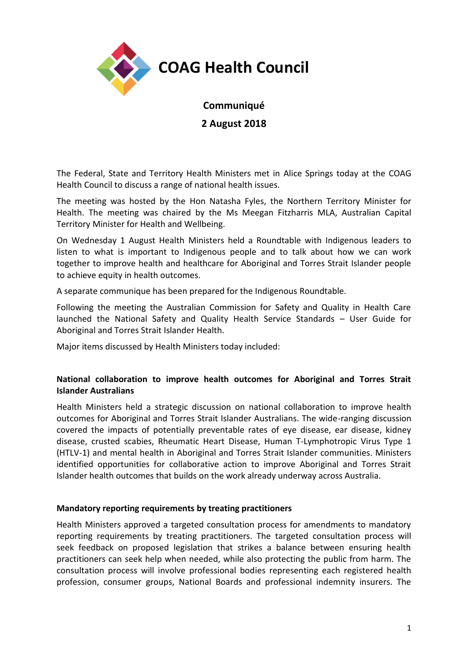

# **Communiqué**

**2 August 2018**

The Federal, State and Territory Health Ministers met in Alice Springs today at the COAG Health Council to discuss a range of national health issues.

The meeting was hosted by the Hon Natasha Fyles, the Northern Territory Minister for Health. The meeting was chaired by the Ms Meegan Fitzharris MLA, Australian Capital Territory Minister for Health and Wellbeing.

On Wednesday 1 August Health Ministers held a Roundtable with Indigenous leaders to listen to what is important to Indigenous people and to talk about how we can work together to improve health and healthcare for Aboriginal and Torres Strait Islander people to achieve equity in health outcomes.

A separate communique has been prepared for the Indigenous Roundtable.

Following the meeting the Australian Commission for Safety and Quality in Health Care launched the National Safety and Quality Health Service Standards – User Guide for Aboriginal and Torres Strait Islander Health.

Major items discussed by Health Ministers today included:

# **National collaboration to improve health outcomes for Aboriginal and Torres Strait Islander Australians**

Health Ministers held a strategic discussion on national collaboration to improve health outcomes for Aboriginal and Torres Strait Islander Australians. The wide-ranging discussion covered the impacts of potentially preventable rates of eye disease, ear disease, kidney disease, crusted scabies, Rheumatic Heart Disease, Human T-Lymphotropic Virus Type 1 (HTLV-1) and mental health in Aboriginal and Torres Strait Islander communities. Ministers identified opportunities for collaborative action to improve Aboriginal and Torres Strait Islander health outcomes that builds on the work already underway across Australia.

# **Mandatory reporting requirements by treating practitioners**

Health Ministers approved a targeted consultation process for amendments to mandatory reporting requirements by treating practitioners. The targeted consultation process will seek feedback on proposed legislation that strikes a balance between ensuring health practitioners can seek help when needed, while also protecting the public from harm. The consultation process will involve professional bodies representing each registered health profession, consumer groups, National Boards and professional indemnity insurers. The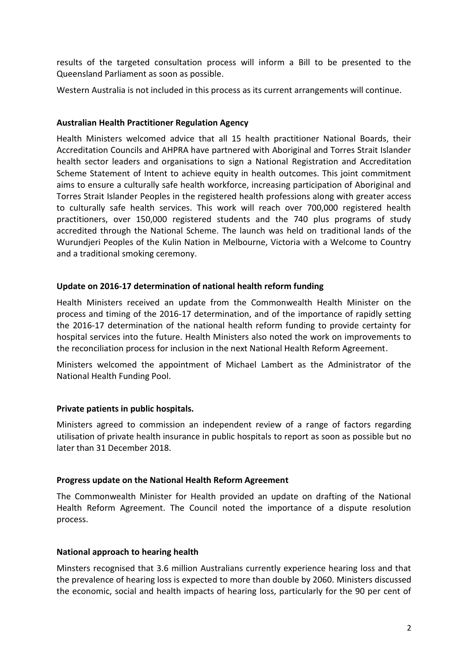results of the targeted consultation process will inform a Bill to be presented to the Queensland Parliament as soon as possible.

Western Australia is not included in this process as its current arrangements will continue.

### **Australian Health Practitioner Regulation Agency**

Health Ministers welcomed advice that all 15 health practitioner National Boards, their Accreditation Councils and AHPRA have partnered with Aboriginal and Torres Strait Islander health sector leaders and organisations to sign a National Registration and Accreditation Scheme Statement of Intent to achieve equity in health outcomes. This joint commitment aims to ensure a culturally safe health workforce, increasing participation of Aboriginal and Torres Strait Islander Peoples in the registered health professions along with greater access to culturally safe health services. This work will reach over 700,000 registered health practitioners, over 150,000 registered students and the 740 plus programs of study accredited through the National Scheme. The launch was held on traditional lands of the Wurundjeri Peoples of the Kulin Nation in Melbourne, Victoria with a Welcome to Country and a traditional smoking ceremony.

### **Update on 2016-17 determination of national health reform funding**

Health Ministers received an update from the Commonwealth Health Minister on the process and timing of the 2016-17 determination, and of the importance of rapidly setting the 2016-17 determination of the national health reform funding to provide certainty for hospital services into the future. Health Ministers also noted the work on improvements to the reconciliation process for inclusion in the next National Health Reform Agreement.

Ministers welcomed the appointment of Michael Lambert as the Administrator of the National Health Funding Pool.

# **Private patients in public hospitals.**

Ministers agreed to commission an independent review of a range of factors regarding utilisation of private health insurance in public hospitals to report as soon as possible but no later than 31 December 2018.

#### **Progress update on the National Health Reform Agreement**

The Commonwealth Minister for Health provided an update on drafting of the National Health Reform Agreement. The Council noted the importance of a dispute resolution process.

#### **National approach to hearing health**

Minsters recognised that 3.6 million Australians currently experience hearing loss and that the prevalence of hearing loss is expected to more than double by 2060. Ministers discussed the economic, social and health impacts of hearing loss, particularly for the 90 per cent of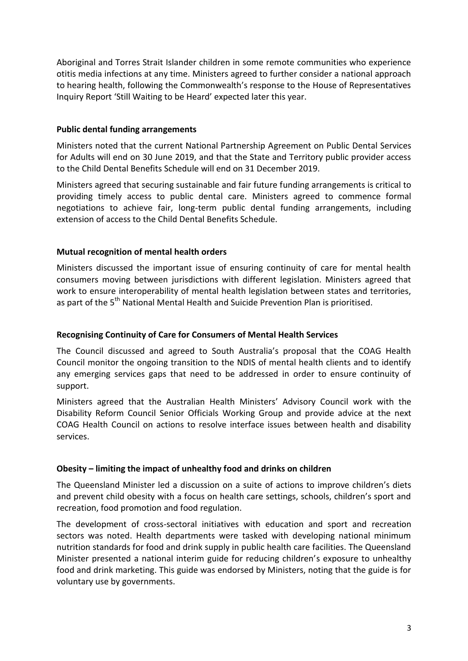Aboriginal and Torres Strait Islander children in some remote communities who experience otitis media infections at any time. Ministers agreed to further consider a national approach to hearing health, following the Commonwealth's response to the House of Representatives Inquiry Report 'Still Waiting to be Heard' expected later this year.

#### **Public dental funding arrangements**

Ministers noted that the current National Partnership Agreement on Public Dental Services for Adults will end on 30 June 2019, and that the State and Territory public provider access to the Child Dental Benefits Schedule will end on 31 December 2019.

Ministers agreed that securing sustainable and fair future funding arrangements is critical to providing timely access to public dental care. Ministers agreed to commence formal negotiations to achieve fair, long-term public dental funding arrangements, including extension of access to the Child Dental Benefits Schedule.

# **Mutual recognition of mental health orders**

Ministers discussed the important issue of ensuring continuity of care for mental health consumers moving between jurisdictions with different legislation. Ministers agreed that work to ensure interoperability of mental health legislation between states and territories, as part of the 5<sup>th</sup> National Mental Health and Suicide Prevention Plan is prioritised.

# **Recognising Continuity of Care for Consumers of Mental Health Services**

The Council discussed and agreed to South Australia's proposal that the COAG Health Council monitor the ongoing transition to the NDIS of mental health clients and to identify any emerging services gaps that need to be addressed in order to ensure continuity of support.

Ministers agreed that the Australian Health Ministers' Advisory Council work with the Disability Reform Council Senior Officials Working Group and provide advice at the next COAG Health Council on actions to resolve interface issues between health and disability services.

# **Obesity – limiting the impact of unhealthy food and drinks on children**

The Queensland Minister led a discussion on a suite of actions to improve children's diets and prevent child obesity with a focus on health care settings, schools, children's sport and recreation, food promotion and food regulation.

The development of cross-sectoral initiatives with education and sport and recreation sectors was noted. Health departments were tasked with developing national minimum nutrition standards for food and drink supply in public health care facilities. The Queensland Minister presented a national interim guide for reducing children's exposure to unhealthy food and drink marketing. This guide was endorsed by Ministers, noting that the guide is for voluntary use by governments.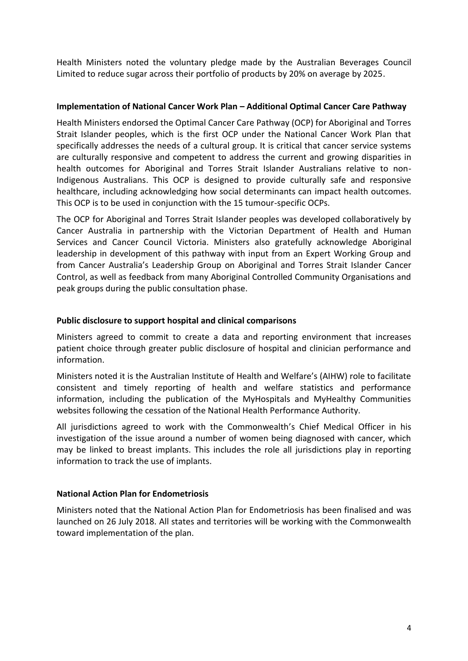Health Ministers noted the voluntary pledge made by the Australian Beverages Council Limited to reduce sugar across their portfolio of products by 20% on average by 2025.

### **Implementation of National Cancer Work Plan – Additional Optimal Cancer Care Pathway**

Health Ministers endorsed the Optimal Cancer Care Pathway (OCP) for Aboriginal and Torres Strait Islander peoples, which is the first OCP under the National Cancer Work Plan that specifically addresses the needs of a cultural group. It is critical that cancer service systems are culturally responsive and competent to address the current and growing disparities in health outcomes for Aboriginal and Torres Strait Islander Australians relative to non-Indigenous Australians. This OCP is designed to provide culturally safe and responsive healthcare, including acknowledging how social determinants can impact health outcomes. This OCP is to be used in conjunction with the 15 tumour-specific OCPs.

The OCP for Aboriginal and Torres Strait Islander peoples was developed collaboratively by Cancer Australia in partnership with the Victorian Department of Health and Human Services and Cancer Council Victoria. Ministers also gratefully acknowledge Aboriginal leadership in development of this pathway with input from an Expert Working Group and from Cancer Australia's Leadership Group on Aboriginal and Torres Strait Islander Cancer Control, as well as feedback from many Aboriginal Controlled Community Organisations and peak groups during the public consultation phase.

### **Public disclosure to support hospital and clinical comparisons**

Ministers agreed to commit to create a data and reporting environment that increases patient choice through greater public disclosure of hospital and clinician performance and information.

Ministers noted it is the Australian Institute of Health and Welfare's (AIHW) role to facilitate consistent and timely reporting of health and welfare statistics and performance information, including the publication of the MyHospitals and MyHealthy Communities websites following the cessation of the National Health Performance Authority.

All jurisdictions agreed to work with the Commonwealth's Chief Medical Officer in his investigation of the issue around a number of women being diagnosed with cancer, which may be linked to breast implants. This includes the role all jurisdictions play in reporting information to track the use of implants.

#### **National Action Plan for Endometriosis**

Ministers noted that the National Action Plan for Endometriosis has been finalised and was launched on 26 July 2018. All states and territories will be working with the Commonwealth toward implementation of the plan.